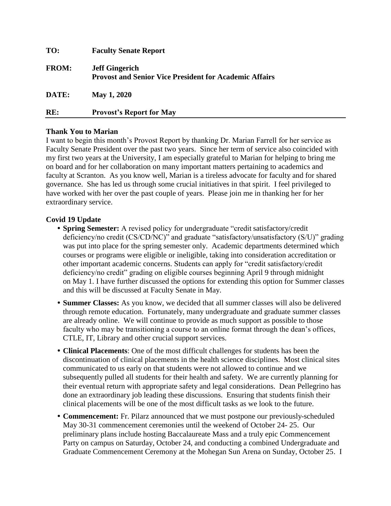| TO:          | <b>Faculty Senate Report</b>                                                           |
|--------------|----------------------------------------------------------------------------------------|
| <b>FROM:</b> | <b>Jeff Gingerich</b><br><b>Provost and Senior Vice President for Academic Affairs</b> |
| DATE:        | May 1, 2020                                                                            |
| RE:          | <b>Provost's Report for May</b>                                                        |

## **Thank You to Marian**

I want to begin this month's Provost Report by thanking Dr. Marian Farrell for her service as Faculty Senate President over the past two years. Since her term of service also coincided with my first two years at the University, I am especially grateful to Marian for helping to bring me on board and for her collaboration on many important matters pertaining to academics and faculty at Scranton. As you know well, Marian is a tireless advocate for faculty and for shared governance. She has led us through some crucial initiatives in that spirit. I feel privileged to have worked with her over the past couple of years. Please join me in thanking her for her extraordinary service.

## **Covid 19 Update**

- **• Spring Semester:** A revised policy for undergraduate "credit satisfactory/credit deficiency/no credit (CS/CD/NC)" and graduate "satisfactory/unsatisfactory (S/U)" grading was put into place for the spring semester only. Academic departments determined which courses or programs were eligible or ineligible, taking into consideration accreditation or other important academic concerns. Students can apply for "credit satisfactory/credit deficiency/no credit" grading on eligible courses beginning April 9 through midnight on May 1. I have further discussed the options for extending this option for Summer classes and this will be discussed at Faculty Senate in May.
- **• Summer Classes:** As you know, we decided that all summer classes will also be delivered through remote education. Fortunately, many undergraduate and graduate summer classes are already online. We will continue to provide as much support as possible to those faculty who may be transitioning a course to an online format through the dean's offices, CTLE, IT, Library and other crucial support services.
- **• Clinical Placements**: One of the most difficult challenges for students has been the discontinuation of clinical placements in the health science disciplines. Most clinical sites communicated to us early on that students were not allowed to continue and we subsequently pulled all students for their health and safety. We are currently planning for their eventual return with appropriate safety and legal considerations. Dean Pellegrino has done an extraordinary job leading these discussions. Ensuring that students finish their clinical placements will be one of the most difficult tasks as we look to the future.
- **• Commencement:** Fr. Pilarz announced that we must postpone our previously-scheduled May 30-31 commencement ceremonies until the weekend of October 24- 25. Our preliminary plans include hosting Baccalaureate Mass and a truly epic Commencement Party on campus on Saturday, October 24, and conducting a combined Undergraduate and Graduate Commencement Ceremony at the Mohegan Sun Arena on Sunday, October 25. I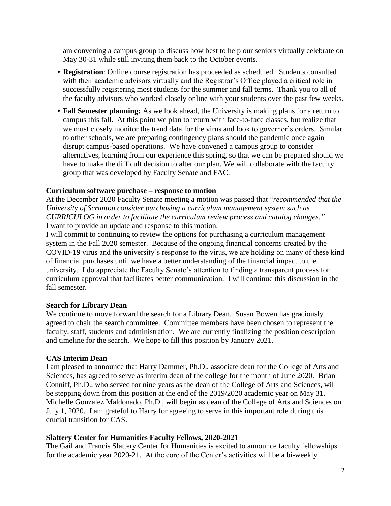am convening a campus group to discuss how best to help our seniors virtually celebrate on May 30-31 while still inviting them back to the October events.

- **• Registration**: Online course registration has proceeded as scheduled. Students consulted with their academic advisors virtually and the Registrar's Office played a critical role in successfully registering most students for the summer and fall terms. Thank you to all of the faculty advisors who worked closely online with your students over the past few weeks.
- **• Fall Semester planning:** As we look ahead, the University is making plans for a return to campus this fall. At this point we plan to return with face-to-face classes, but realize that we must closely monitor the trend data for the virus and look to governor's orders. Similar to other schools, we are preparing contingency plans should the pandemic once again disrupt campus-based operations. We have convened a campus group to consider alternatives, learning from our experience this spring, so that we can be prepared should we have to make the difficult decision to alter our plan. We will collaborate with the faculty group that was developed by Faculty Senate and FAC.

## **Curriculum software purchase – response to motion**

At the December 2020 Faculty Senate meeting a motion was passed that "*recommended that the University of Scranton consider purchasing a curriculum management system such as CURRICULOG in order to facilitate the curriculum review process and catalog changes."* I want to provide an update and response to this motion.

I will commit to continuing to review the options for purchasing a curriculum management system in the Fall 2020 semester. Because of the ongoing financial concerns created by the COVID-19 virus and the university's response to the virus, we are holding on many of these kind of financial purchases until we have a better understanding of the financial impact to the university. I do appreciate the Faculty Senate's attention to finding a transparent process for curriculum approval that facilitates better communication. I will continue this discussion in the fall semester.

### **Search for Library Dean**

We continue to move forward the search for a Library Dean. Susan Bowen has graciously agreed to chair the search committee. Committee members have been chosen to represent the faculty, staff, students and administration. We are currently finalizing the position description and timeline for the search. We hope to fill this position by January 2021.

# **CAS Interim Dean**

I am pleased to announce that Harry Dammer, Ph.D., associate dean for the College of Arts and Sciences, has agreed to serve as interim dean of the college for the month of June 2020. Brian Conniff, Ph.D., who served for nine years as the dean of the College of Arts and Sciences, will be stepping down from this position at the end of the 2019/2020 academic year on May 31. Michelle Gonzalez Maldonado, Ph.D., will begin as dean of the College of Arts and Sciences on July 1, 2020. I am grateful to Harry for agreeing to serve in this important role during this crucial transition for CAS.

# **Slattery Center for Humanities Faculty Fellows, 2020-2021**

The Gail and Francis Slattery Center for Humanities is excited to announce faculty fellowships for the academic year 2020-21. At the core of the Center's activities will be a bi-weekly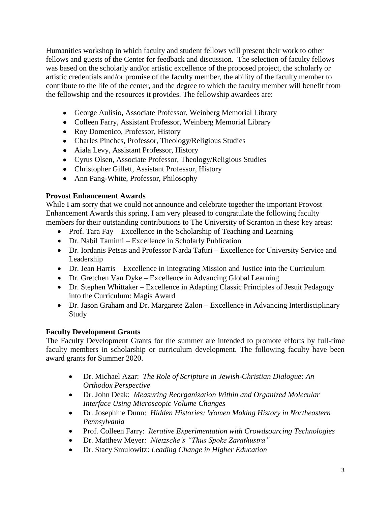Humanities workshop in which faculty and student fellows will present their work to other fellows and guests of the Center for feedback and discussion. The selection of faculty fellows was based on the scholarly and/or artistic excellence of the proposed project, the scholarly or artistic credentials and/or promise of the faculty member, the ability of the faculty member to contribute to the life of the center, and the degree to which the faculty member will benefit from the fellowship and the resources it provides. The fellowship awardees are:

- George Aulisio, Associate Professor, Weinberg Memorial Library
- Colleen Farry, Assistant Professor, Weinberg Memorial Library
- Roy Domenico, Professor, History
- Charles Pinches, Professor, Theology/Religious Studies
- Aiala Levy, Assistant Professor, History
- Cyrus Olsen, Associate Professor, Theology/Religious Studies
- Christopher Gillett, Assistant Professor, History
- Ann Pang-White, Professor, Philosophy

# **Provost Enhancement Awards**

While I am sorry that we could not announce and celebrate together the important Provost Enhancement Awards this spring, I am very pleased to congratulate the following faculty members for their outstanding contributions to The University of Scranton in these key areas:

- Prof. Tara Fay Excellence in the Scholarship of Teaching and Learning
- Dr. Nabil Tamimi Excellence in Scholarly Publication
- Dr. Iordanis Petsas and Professor Narda Tafuri Excellence for University Service and Leadership
- Dr. Jean Harris Excellence in Integrating Mission and Justice into the Curriculum
- Dr. Gretchen Van Dyke Excellence in Advancing Global Learning
- Dr. Stephen Whittaker Excellence in Adapting Classic Principles of Jesuit Pedagogy into the Curriculum: Magis Award
- Dr. Jason Graham and Dr. Margarete Zalon Excellence in Advancing Interdisciplinary Study

# **Faculty Development Grants**

The Faculty Development Grants for the summer are intended to promote efforts by full-time faculty members in scholarship or curriculum development. The following faculty have been award grants for Summer 2020.

- Dr. Michael Azar: *The Role of Scripture in Jewish-Christian Dialogue: An Orthodox Perspective*
- Dr. John Deak: *Measuring Reorganization Within and Organized Molecular Interface Using Microscopic Volume Changes*
- Dr. Josephine Dunn: *Hidden Histories: Women Making History in Northeastern Pennsylvania*
- Prof. Colleen Farry: *Iterative Experimentation with Crowdsourcing Technologies*
- Dr. Matthew Meyer*: Nietzsche's "Thus Spoke Zarathustra"*
- Dr. Stacy Smulowitz: *Leading Change in Higher Education*